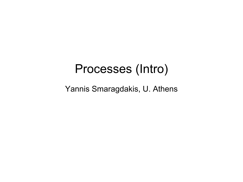#### Processes (Intro)

Yannis Smaragdakis, U. Athens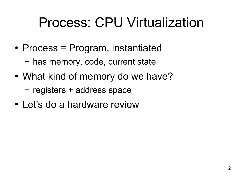# Process: CPU Virtualization

- Process = Program, instantiated
	- has memory, code, current state
- What kind of memory do we have?
	- registers + address space
- Let's do a hardware review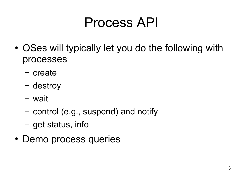# Process API

- OSes will typically let you do the following with processes
	- create
	- destroy
	- wait
	- control (e.g., suspend) and notify
	- get status, info
- Demo process queries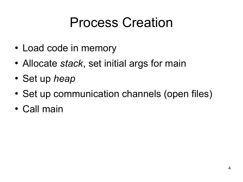## Process Creation

- Load code in memory
- Allocate *stack*, set initial args for main
- Set up *heap*
- Set up communication channels (open files)
- Call main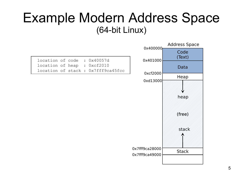#### Example Modern Address Space (64-bit Linux)

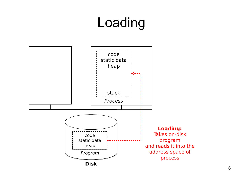# Loading

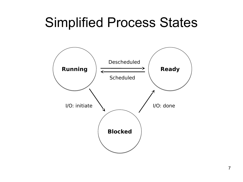#### Simplified Process States

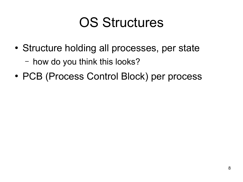### OS Structures

• Structure holding all processes, per state

– how do you think this looks?

• PCB (Process Control Block) per process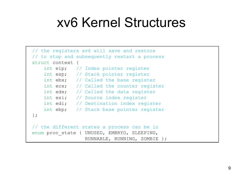#### xv6 Kernel Structures

```
// the registers xv6 will save and restore
// the registers xv6 will save and restore
// to stop and subsequently restart a process
// to stop and subsequently restart a process
struct context {
struct context {
 int eip; // Index pointer register
 int eip; // Index pointer register
 int esp; // Stack pointer register
 int esp; // Stack pointer register
int ebx; // Called the base register
int ecx; // Called the counter register
int edx; // Called the data register
int esi; // Source index register
int edi; // Destination index register
int ebp; // Stack base pointer register
};
};
// the different states a process can be in
// the different states a process can be in
enum proc_state { UNUSED, EMBRYO, SLEEPING,
enum proc_state { UNUSED, EMBRYO, SLEEPING,
 RUNNABLE, RUNNING, ZOMBIE };
 RUNNABLE, RUNNING, ZOMBIE };
```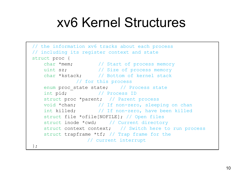#### xv6 Kernel Structures

```
// the information xv6 tracks about each process
// the information xv6 tracks about each process
// including its register context and state
// including its register context and state
struct proc {
struct proc {
 char *mem; // Start of process memory
 char *mem; // Start of process memory
 uint sz; // Size of process memory
 uint sz; // Size of process memory
 char *kstack; // Bottom of kernel stack
 char *kstack; // Bottom of kernel stack
                       // for this process
// for this process
enum proc_state state; // Process state
 int pid; // Process ID
 int pid; // Process ID
struct proc *parent; // Parent process
 void *chan; // If non-zero, sleeping on chan
 void *chan; // If non-zero, sleeping on chan
 int killed; // If non-zero, have been killed
 int killed; // If non-zero, have been killed
 struct file *ofile[NOFILE]; // Open files
 struct file *ofile[NOFILE]; // Open files
struct inode *cwd; // Current directory
 struct context context; // Switch here to run process
 struct context context; // Switch here to run process
 struct trapframe *tf; // Trap frame for the
 struct trapframe *tf; // Trap frame for the
 // current interrupt
 // current interrupt
};
};
```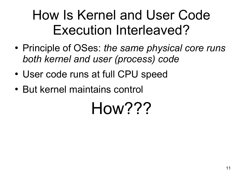# How Is Kernel and User Code Execution Interleaved?

- Principle of OSes: *the same physical core runs both kernel and user (process) code*
- User code runs at full CPU speed
- But kernel maintains control

# How???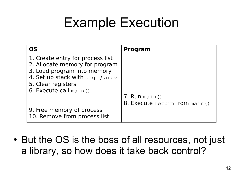## Example Execution

| OS                               | <b>Program</b>                |
|----------------------------------|-------------------------------|
| 1. Create entry for process list |                               |
| 2. Allocate memory for program   |                               |
| 3. Load program into memory      |                               |
| 4. Set up stack with arge / argv |                               |
| 5. Clear registers               |                               |
| 6. Execute call $main()$         |                               |
|                                  | 7. Run main()                 |
|                                  | 8. Execute return from main() |
| 9. Free memory of process        |                               |
| 10. Remove from process list     |                               |

• But the OS is the boss of all resources, not just a library, so how does it take back control?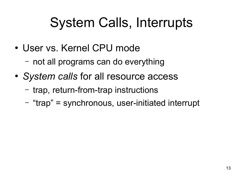# System Calls, Interrupts

- User vs. Kernel CPU mode
	- not all programs can do everything
- *System calls* for all resource access
	- trap, return-from-trap instructions
	- "trap" = synchronous, user-initiated interrupt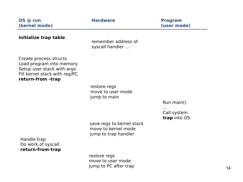| OS @ run<br>(kernel mode)                                                                                                              | <b>Hardware</b>                                                          | <b>Program</b><br>(user mode) |
|----------------------------------------------------------------------------------------------------------------------------------------|--------------------------------------------------------------------------|-------------------------------|
| initialize trap table                                                                                                                  | remember address of<br>syscall handler                                   |                               |
| Create process structs<br>Load program into memory<br>Setup user stack with argv<br>Fill kernel stack with reg/PC<br>return-from -trap |                                                                          |                               |
|                                                                                                                                        | restore regs<br>move to user mode                                        |                               |
|                                                                                                                                        | jump to main                                                             |                               |
|                                                                                                                                        |                                                                          | Run main()                    |
|                                                                                                                                        |                                                                          | Call system<br>trap into OS   |
|                                                                                                                                        | save regs to kernel stack<br>move to kernel mode<br>jump to trap handler |                               |
| Handle trap<br>Do work of syscall<br>return-from-trap                                                                                  |                                                                          |                               |
|                                                                                                                                        | restore regs<br>move to user mode<br>jump to PC after trap               |                               |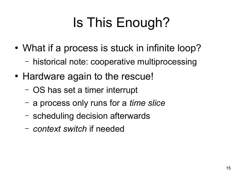# Is This Enough?

- What if a process is stuck in infinite loop?
	- historical note: cooperative multiprocessing
- Hardware again to the rescue!
	- OS has set a timer interrupt
	- a process only runs for a *time slice*
	- scheduling decision afterwards
	- *context switch* if needed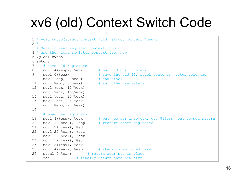# xv6 (old) Context Switch Code

```
1 # void swtch(struct context *old, struct context *new);
1 # void swtch(struct context *old, struct context *new);
2 #
2 #
3 # Save current register context in old
3 # Save current register context in old
4 # and then load register context from new.
4 # and then load register context from new.
5 .globl swtch
5 .globl swtch
6 swtch:
6 swtch:
7 # Save old registers
7 # Save old registers
8 movl 4(%esp), %eax # put old ptr into eax
8 movl 4(%esp), %eax # put old ptr into eax
9 popl 0(%eax) \# save the old IP, stack contents: return, old, new
10 movl %esp, 4(%eax) # and stack
10 movl %esp, 4(%eax) # and stack
11 movl %ebx, 8(%eax) # and other registers
11 movl %ebx, 8(%eax) # and other registers
12 movl %ecx, 12(%eax)
12 movl %ecx, 12(%eax)
13 movl %edx, 16(%eax)
13 movl %edx, 16(%eax)
14 movl %esi, 20(%eax)
14 movl %esi, 20(%eax)
15 movl %edi, 24(%eax)
15 movl %edi, 24(%eax)
16 movl %ebp, 28(%eax)
16 movl %ebp, 28(%eax)
17
17
18 # Load new registers
18 # Load new registers
19 movl 4(%esp), %eax # put new ptr into eax, was 8(%esp) but popped return
19 movl 4(%esp), %eax # put new ptr into eax, was 8(%esp) but popped return
20 movl 28(%eax), %ebp # restore other registers
20 movl 28(%eax), %ebp # restore other registers
21 movl 24(%eax), %edi
21 movl 24(%eax), %edi
22 movl 20(%eax), %esi
22 movl 20(%eax), %esi
23 movl 16(%eax), %edx
23 movl 16(%eax), %edx
24 movl 12(%eax), %ecx
24 movl 12(%eax), %ecx
25 movl 8(%eax), %ebx
25 movl 8(%eax), %ebx
26 movl 4(%eax), %esp # stack is switched here
26 movl 4(%eax), %esp # stack is switched here
27 pushl 0(%eax) # return addr put in place
27 pushl 0(%eax) # return addr put in place
28 ret # finally return into new ctxt
28 ret # finally return into new ctxt
```